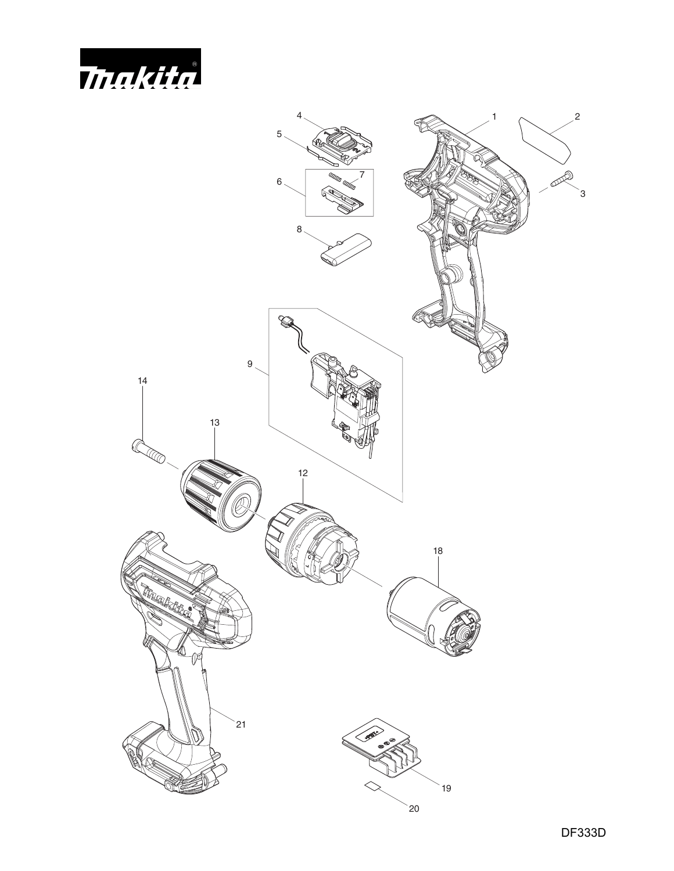